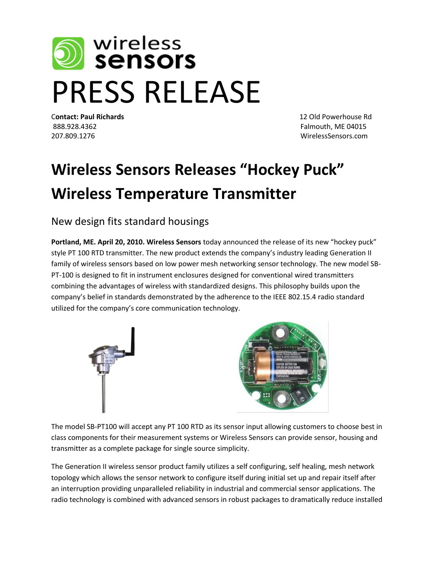

C**ontact: Paul Richards** 12 Old Powerhouse Rd 888.928.4362 Falmouth, ME 04015 207.809.1276 WirelessSensors.com

## **Wireless Sensors Releases "Hockey Puck" Wireless Temperature Transmitter**

New design fits standard housings

**Portland, ME. April 20, 2010. Wireless Sensors** today announced the release of its new "hockey puck" style PT 100 RTD transmitter. The new product extends the company's industry leading Generation II family of wireless sensors based on low power mesh networking sensor technology. The new model SB-PT-100 is designed to fit in instrument enclosures designed for conventional wired transmitters combining the advantages of wireless with standardized designs. This philosophy builds upon the company's belief in standards demonstrated by the adherence to the IEEE 802.15.4 radio standard utilized for the company's core communication technology.



The model SB-PT100 will accept any PT 100 RTD as its sensor input allowing customers to choose best in class components for their measurement systems or Wireless Sensors can provide sensor, housing and transmitter as a complete package for single source simplicity.

The Generation II wireless sensor product family utilizes a self configuring, self healing, mesh network topology which allows the sensor network to configure itself during initial set up and repair itself after an interruption providing unparalleled reliability in industrial and commercial sensor applications. The radio technology is combined with advanced sensors in robust packages to dramatically reduce installed